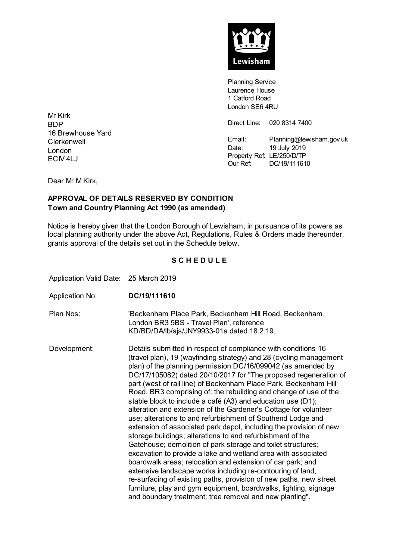

**Planning Service** Laurence House 1 Catford Road London SE6 4RU

Direct Line: 020 8314 7400

Email: Planning@lewisham.gov.uk Date: 19 July 2019 Property Ref: LE/250/D/TP Our Ref: DC/19/111610

Mr Kirk BDP 16 Brewhouse Yard **Clerkenwell** London ECIV 4LJ

Dear Mr M Kirk,

## **APPROVAL OF DETAILS RESERVED BY CONDITION Town and Country Planning Act 1990 (as amended)**

Notice is hereby given that the London Borough of Lewisham, in pursuance of its powers as local planning authority under the above Act, Regulations, Rules & Orders made thereunder, grants approval of the details set out in the Schedule below.

## **S C H E D U L E**

Application Valid Date: 25 March 2019

- Application No: **DC/19/111610**
- Plan Nos: 'Beckenham Place Park, Beckenham Hill Road, Beckenham, London BR3 5BS - Travel Plan', reference KD/BD/DA/lb/sjs/JNY9933-01a dated 18.2.19.

Development: Details submitted in respect of compliance with conditions 16 (travel plan), 19 (wayfinding strategy) and 28 (cycling management plan) of the planning permission DC/16/099042 (as amended by DC/17/105082) dated 20/10/2017 for "The proposed regeneration of part (west of rail line) of Beckenham Place Park, Beckenham Hill Road, BR3 comprising of: the rebuilding and change of use of the stable block to include a café (A3) and education use (D1); alteration and extension of the Gardener's Cottage for volunteer use; alterations to and refurbishment of Southend Lodge and extension of associated park depot, including the provision of new storage buildings; alterations to and refurbishment of the Gatehouse; demolition of park storage and toilet structures; excavation to provide a lake and wetland area with associated boardwalk areas; relocation and extension of car park; and extensive landscape works including re-contouring of land, re-surfacing of existing paths, provision of new paths, new street furniture, play and gym equipment, boardwalks, lighting, signage and boundary treatment; tree removal and new planting".